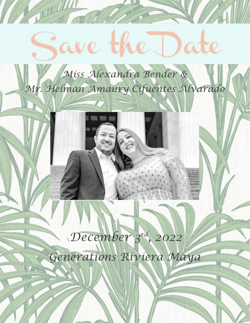# **THE REAL PROPERTY** ave the Date *Miss Alexandra Bender & Mr. Helman Amaury Cifuentes Alvarado* \*December 3 rd, 2022 Generations Riviera Maya*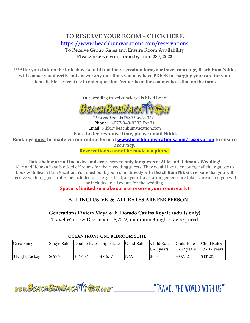# **TO RESERVE YOUR ROOM – CLICK HERE:** <https://www.beachbumvacations.com/reservations>

To Receive Group Rates and Ensure Room Availability **Please reserve your room by June 28th, 2022**

**\*\*\*After you click on the link above and fill out the reservation form, our travel concierge, Beach Bum Nikki, will contact you directly and answer any questions you may have PRIOR to charging your card for your deposit. Please feel free to enter questions/requests on the comments section on the form.**

Our wedding travel concierge is Nikki Bond

\_\_\_\_\_\_\_\_\_\_\_\_\_\_\_\_\_\_\_\_\_\_\_\_\_\_\_\_\_\_\_\_\_\_\_\_\_\_\_\_\_\_\_\_\_\_\_\_\_\_\_\_\_\_\_\_\_\_\_\_\_\_\_\_\_\_\_\_\_\_\_\_\_\_\_\_\_\_\_\_\_\_\_\_\_\_\_\_\_\_\_\_\_\_\_\_\_\_\_\_\_\_\_\_\_\_\_\_\_\_\_\_\_\_\_\_\_\_\_\_\_\_\_



Travel the WORLD with US Phone: 1-877-943-8282 Ext 31 Email: Nikki@beachbumvacation.com **For a faster response time, please email Nikki. Bookings must be made via our online form at [www.beachbumvacations.com/reservation](http://www.beachbumvacations.com/reservation) to ensure accuracy. Reservations cannot be made via phone.**

**Rates below are all inclusive and are reserved only for guests of Allie and Helman's Wedding!** Allie and Helman have blocked off rooms for their wedding guests. They would like to encourage all their guests to book with Beach Bum Vacation. You must book your room directly with **Beach Bum Nikki** to ensure that you will receive wedding guest rates, be included on the guest list, all your travel arrangements are taken care of and you will be included in all events for the wedding.

## **Space is limited so make sure to reserve your room early!**

# **ALL-INCLUSIVE & ALL RATES ARE PER PERSON**

**Generations Riviera Maya & El Dorado Casitas Royale (adults only)**

Travel Window December 1-8,2022, minimum 3-night stay required

 **OCEAN FRONT ONE BEDROOM SUITE**

| Occupancy       | Single Rate | Double Rate Triple Rate |          | Ouad Rate | Child Rates Child Rates Child Rates<br>$0 - 1$ vears | $ 2 - 12$ years $ 13 - 17$ years |          |
|-----------------|-------------|-------------------------|----------|-----------|------------------------------------------------------|----------------------------------|----------|
| 3 Night Package | \$697.76    | \$567.57                | \$516.17 | N/A       | \$0.00                                               | \$307.12                         | \$437.35 |

www.BEACHBUMVACATTE M.com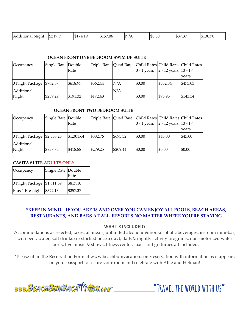| $  -$<br>\$217.59<br>Additional<br>Nighi | $A + H$<br>$\sim$<br>u<br>- 151.<br>′ ⊥<br><b>I.L.</b><br>$\sim$ $\sim$ | \$157.06 | - Niz<br>۷/A | \$0.00 | \$87.37 | \$130.78 |
|------------------------------------------|-------------------------------------------------------------------------|----------|--------------|--------|---------|----------|
|------------------------------------------|-------------------------------------------------------------------------|----------|--------------|--------|---------|----------|

### **OCEAN FRONT ONE BEDROOM SWIM UP SUITE**

| Occupancy                  | Single Rate Double |          |          |     |               |                          | Triple Rate   Quad Rate   Child Rates   Child Rates   Child Rates |
|----------------------------|--------------------|----------|----------|-----|---------------|--------------------------|-------------------------------------------------------------------|
|                            |                    | Rate     |          |     | $0 - 1$ years | $2 - 12$ years $13 - 17$ |                                                                   |
|                            |                    |          |          |     |               |                          | years                                                             |
| 3 Night Package   \$762.87 |                    | \$618.97 | \$562.44 | N/A | \$0.00        | \$332.84                 | \$475.03                                                          |
| Additional                 |                    |          |          | N/A |               |                          |                                                                   |
| Night                      | \$239.29           | \$191.32 | \$172.48 |     | \$0.00        | \$95.95                  | \$143.34                                                          |

### **OCEAN FRONT TWO BEDROOM SUITE**

| Occupancy                  | Single Rate Double | Rate       |          |          | $0 - 1$ years | Triple Rate   Quad Rate   Child Rates   Child Rates   Child Rates  <br>$2 - 12$ years $13 - 17$ |         |
|----------------------------|--------------------|------------|----------|----------|---------------|-------------------------------------------------------------------------------------------------|---------|
|                            |                    |            |          |          |               |                                                                                                 | vears   |
| 3 Night Package \$2,558.25 |                    | \$1,301.64 | \$882.76 | \$673.32 | \$0.00        | \$45.00                                                                                         | \$45.00 |
| Additional<br>Night        | \$837.75           | \$418.88   | \$279.25 | \$209.44 | \$0.00        | \$0.00                                                                                          | \$0.00  |

### **CASITA SUITE-ADULTS ONLY**

| Occupancy                  | Single Rate Double | Rate     |
|----------------------------|--------------------|----------|
| 3 Night Package \$1,011.39 |                    | \$817.10 |
| Plus 1 Pre-night \$322.13  |                    | \$257.37 |

### **\*KEEP IN MIND – IF YOU ARE 18 AND OVER YOU CAN ENJOY ALL POOLS, BEACH AREAS, RESTAURANTS, AND BARS AT ALL RESORTS NO MATTER WHERE YOU'RE STAYING**

### **WHAT'S INCLUDED?**

Accommodations as selected, taxes, all meals, unlimited alcoholic & non-alcoholic beverages, in-room mini-bar, with beer, water, soft drinks (re-stocked once a day), daily& nightly activity programs, non-motorized water sports, live music & shows, fitness center, taxes and gratuities all included.

\*Please fill in the Reservation Form at [www.beachbumvacation.com/reservation](http://www.beachbumvacation.com/reservation) with information as it appears on your passport to secure your room and celebrate with Allie and Helman!

www.BEACHBUMVACATTEN.com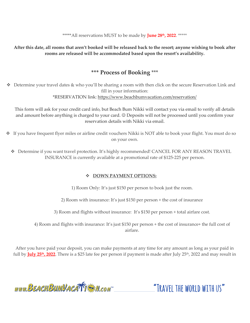\*\*\*\*\*All reservations MUST to be made by **June 28th, 2022**. \*\*\*\*\*

**After this date, all rooms that aren't booked will be released back to the resort; anyone wishing to book after rooms are released will be accommodated based upon the resort's availability.** 

# **\*\*\* Process of Booking** \*\*\*

❖ Determine your travel dates & who you'll be sharing a room with then click on the secure Reservation Link and fill in your information: \*RESERVATION link:<https://www.beachbumvacation.com/reservation/>

This form will ask for your credit card info, but Beach Bum Nikki will contact you via email to verify all details and amount before anything is charged to your card. ☺ Deposits will not be processed until you confirm your reservation details with Nikki via email.

- ❖ If you have frequent flyer miles or airline credit vouchers Nikki is NOT able to book your flight. You must do so on your own.
	- ❖ Determine if you want travel protection. It's highly recommended! CANCEL FOR ANY REASON TRAVEL INSURANCE is currently available at a promotional rate of \$125-225 per person.

### ❖ **DOWN PAYMENT OPTIONS:**

1) Room Only: It's just \$150 per person to book just the room.

2) Room with insurance: It's just \$150 per person + the cost of insurance

3) Room and flights without insurance: It's \$150 per person + total airfare cost.

4) Room and flights with insurance: It's just \$150 per person + the cost of insurance+ the full cost of airfare.

After you have paid your deposit, you can make payments at any time for any amount as long as your paid in full by **July 25th, 2022**. There is a \$25 late fee per person if payment is made after July 25th, 2022 and may result in

www.BEACHBUMVACATTE M.com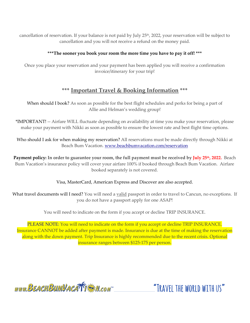cancellation of reservation. If your balance is not paid by July 25<sup>th</sup>, 2022, your reservation will be subject to cancellation and you will not receive a refund on the money paid.

### **\*\*\*The sooner you book your room the more time you have to pay it off! \*\*\***

Once you place your reservation and your payment has been applied you will receive a confirmation invoice/itinerary for your trip!

# **\*\*\* Important Travel & Booking Information \*\*\***

When should I book? As soon as possible for the best flight schedules and perks for being a part of Allie and Helman's wedding group!

\*IMPORTANT! -- Airfare WILL fluctuate depending on availability at time you make your reservation, please make your payment with Nikki as soon as possible to ensure the lowest rate and best flight time options.

Who should I ask for when making my reservation? All reservations must be made directly through Nikki at Beach Bum Vacation. [www.beachbumvacation.com/reservation](http://www.beachbumvacation.com/reservation)

**Payment policy: In order to guarantee your room, the full payment must be received by July 25th, 2022.** Beach Bum Vacation's insurance policy will cover your airfare 100% if booked through Beach Bum Vacation. Airfare booked separately is not covered.

### Visa, MasterCard, American Express and Discover are also accepted.

What travel documents will I need? You will need a valid passport in order to travel to Cancun, no exceptions. If you do not have a passport apply for one ASAP!

You will need to indicate on the form if you accept or decline TRIP INSURANCE.

PLEASE NOTE: You will need to indicate on the form if you accept or decline TRIP INSURANCE. Insurance CANNOT be added after payment is made. Insurance is due at the time of making the reservation along with the down payment. Trip Insurance is highly recommended due to the recent crisis. Optional insurance ranges between \$125-175 per person.

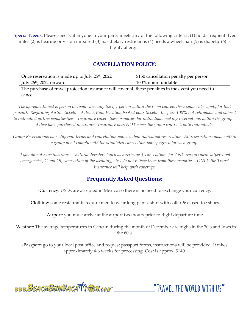Special Needs: Please specify if anyone in your party meets any of the following criteria: (1) holds frequent flyer miles (2) is hearing or vision impaired (3) has dietary restrictions (4) needs a wheelchair (5) is diabetic (6) is highly allergic.

# **CANCELLATION POLICY:**

| Once reservation is made up to July 25 <sup>th</sup> , 2022                                         | \$150 cancellation penalty per person |  |  |  |  |
|-----------------------------------------------------------------------------------------------------|---------------------------------------|--|--|--|--|
| July 26th, 2022-onward                                                                              | 100% nonrefundable                    |  |  |  |  |
| The purchase of travel protection insurance will cover all these penalties in the event you need to |                                       |  |  |  |  |
| cancel.                                                                                             |                                       |  |  |  |  |

*The aforementioned is person or room canceling (so if 1 person within the room cancels these same rules apply for that person). Regarding Airline tickets – if Beach Bum Vacation booked your tickets - they are 100% not refundable and subject to individual airline penalties/fees. Insurance covers these penalties for individuals making reservations within the group – if they have purchased insurance. Insurance does NOT cover the group contract, only individuals.* 

*Group Reservations have different terms and cancellation policies than individual reservation. All reservations made within a group must comply with the stipulated cancelation policy agreed for each group.*

*If you do not have insurance – natural disasters (such as hurricanes), cancelations for ANY reason (medical/personal emergencies, Covid-19, cancelation of the wedding, etc.) do not relieve them from these penalties. ONLY the Travel Insurance will help with coverage.*

# **Frequently Asked Questions:**

-Currency: USDs are accepted in Mexico so there is no need to exchange your currency.

-Clothing: some restaurants require men to wear long pants, shirt with collar & closed toe shoes.

-Airport: you must arrive at the airport two hours prior to flight departure time.

- Weather: The average temperatures in Cancun during the month of December are highs in the 70's and lows in the  $60's$ .

-Passport: go to your local post office and request passport forms, instructions will be provided. It takes approximately 4-6 weeks for processing. Cost is approx. \$140.

www.BEACHBUMVACATTEN.com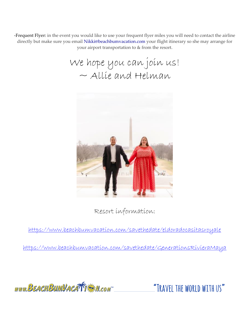-Frequent Flyer: in the event you would like to use your frequent flyer miles you will need to contact the airline directly but make sure you email Nikki@beachbumvacation.com your flight itinerary so she may arrange for your airport transportation to & from the resort.

We hope you can join us!  $\sim$  Allie and Helman



Resort information:

<https://www.beachbumvacation.com/savethedate/eldoradocasitasroyale>

<https://www.beachbumvacation.com/savethedate/GenerationsRivieraMaya>

www.BEACHBUMVACATTE M.com